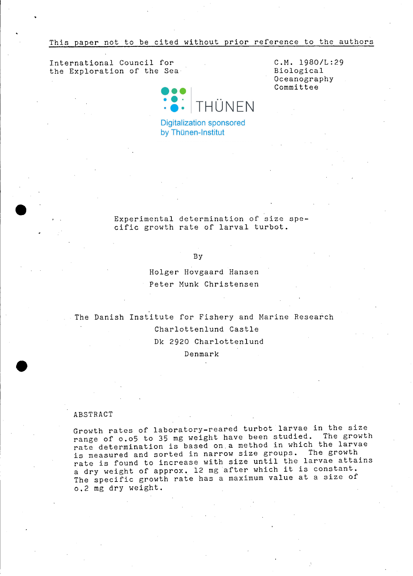This paper not to be cited without prior reference to the authors

International Council for the Exploration of the Sea



**Digitalization sponsored** by Thünen-Institut

C.M. 1980/L:29 Biological Oceanography Committee

Experimental determination of size specific growth rate of larval turbot.

# By

Holger Hovgaard Hansen Peter Munk Christensen

The Danish Institute for Fishery and Marine Research Charlottenlund Castle Dk 2920 Charlottenlund Denmark

### ABSTRACT

**•** 

Growth rates of laboratory-reared turbot larvae in the size range of 0.05 to 35 mg weight have been studied. The growth rate determination is based on.a method in which the larvae is measured and sorted in narrow size groups. The growth is measured and sorted in narrow size greater and actains rate is found to increase with size until the farvac about<br>a dry weight of approx. 12 mg after which it is constant. The specific growth rate has a maximum value at a size of 0.2 mg dry weight.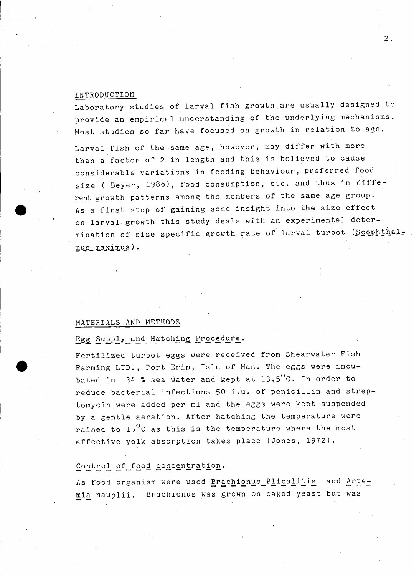## INTRODUCTION

**•** 

Laboratory studies of larval fish growth are usually designed to provide an empirical understanding of the under1ying mechanisms. Most studies so far have focused on growth in relation to age.

Larval fish of the same age, however, may differ with more than <sup>a</sup> factor of <sup>2</sup> in 1ength and this is believed to cause considerable variations in feeding behaviour, preferred food size ( Beyer, 1980), food consumption, etc. and thus in different growth patterns among the members of the same age group. As <sup>a</sup> first step of gaining some insight into the size effect on larval growth this study deals with an experimental determination of size specific growth rate of larval turbot (Scophthalmus\_maximus).

# MATERIALS AND METHODS

# Egg Supply\_and\_Hatching Procedure.

Fertilized turbot eggs were received from Shearwater Fish Farming LTD., Port Erin, Isle of Man. The eggs were incubated in  $34$  % sea water and kept at  $13.5^{\circ}$ C. In order to reduce bacterial infections <sup>50</sup> i.u. of penicillin and streptomycin were added per ml and the eggs were kept suspended by a gentle aeration. After hatching the temperature were raised to 15<sup>0</sup>C as this is the temperature where the most effective yolk absorption takes place (Jones, 1972).

# Control of food concentration.

As food organism were used Brachionus Plicalitis and Artemia nauplii. Brachionus was grown on caked yeast but was

2.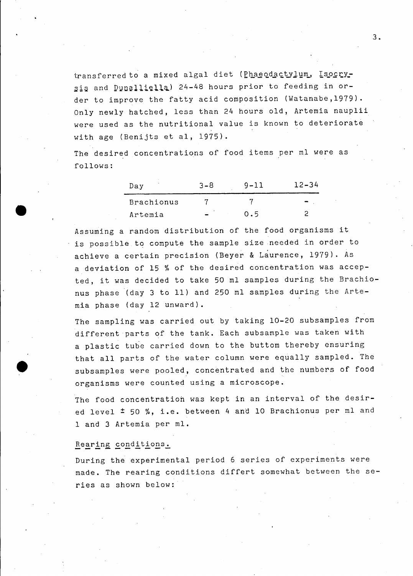transferred to a mixed algal diet (Phaeodactylum, Isocrysis and Dunalliella) 24-48 hours prior to feeding in order to improve the fatty acid composition (Watanabe,1979). Only newly hatched, less than 24 hours old, Artemia nauplii were used as the nutritional value is known to deteriorate with age (Benijts et al, 1975).

The desired concentrations of food items per ml were as follows:

| Day               | $3 - 8$ | 9-11 | $12 - 34$ |  |  |
|-------------------|---------|------|-----------|--|--|
| <b>Brachionus</b> |         |      |           |  |  |
| Artemia           |         | 0.5  |           |  |  |

Assuming <sup>a</sup> random distribution of the food organisms it is possible to compute the sample size needed in order to achieve <sup>a</sup> certain precision (Beyer & Laurence, 1979). As a deviation of 15 % of the desired concentration was accepted, it was decided to take <sup>50</sup> ml samples during the Brachionus phase (day 3 to 11) and 250 ml samples during the Artemia phase (day 12 unward).

The sampling was carried out by taking 10-20 subsamples from different parts of the tank. Each subsample was taken with <sup>a</sup> plastic tube carried down to the buttom thereby ensuring that all parts of the water column were equally sampled. The subsamples were pooled, concentrated and the numbers of food organisms were counted using a microscope.

The food concentratioh was kept in an interval of the desired level <sup>±</sup> <sup>50</sup> %, i.e. between <sup>4</sup> and <sup>10</sup> Brachionus per ml and 1 and 3 Artemia per ml.

# Rearing conditions.

•

During the experimental period <sup>6</sup> series of experiments were made. The rearing conditions differt somewhat between the series as shown below: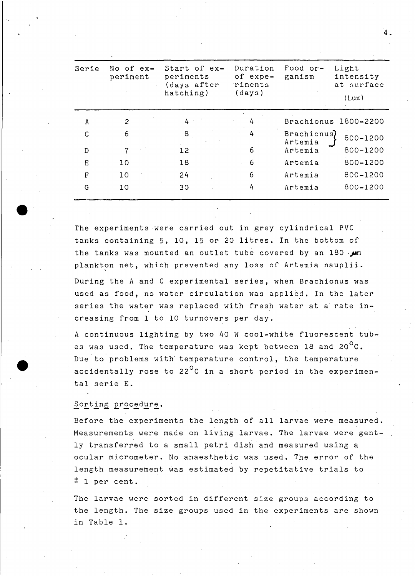| Serie    | No of ex-<br>periment | Start of ex-<br>periments<br>(days after<br>hatching) | Duration<br>of expe-<br>riments<br>(days) | Food or-<br>ganism     | Light<br>intensity<br>at surface<br>(Lux) |  |
|----------|-----------------------|-------------------------------------------------------|-------------------------------------------|------------------------|-------------------------------------------|--|
| A        | 2                     | 4                                                     | 4                                         | Brachionus             | 1800-2200                                 |  |
| C        | 6                     | 8 <sub>1</sub>                                        | 4                                         | Brachionus)<br>Artemia | 800-1200                                  |  |
| D        | 7                     | 12                                                    | 6                                         | Artemia                | 800-1200                                  |  |
| E        | 10                    | 18                                                    | 6                                         | Artemia                | 800-1200                                  |  |
| $\Gamma$ | 10                    | 24                                                    | 6                                         | Artemia                | 800-1200                                  |  |
| G        | 10                    | 30                                                    | 4                                         | Artemia                | 800-1200                                  |  |

The experiments were carried out in grey cylindrical PVC tanks containing 5, 10, <sup>15</sup> or <sup>20</sup> litres. In the bottom of the tanks was mounted an outlet tube covered by an 180 *-pm* plankton net, which prevented any loss of Artemia nauplii.

During the <sup>A</sup> and <sup>C</sup> experimental series, when Brachionus was used as food, no water circulation was applied. In the later series the water was replaced with fresh water at a rate increasing from 1 to 10 turnovers per day.

<sup>A</sup> continuous lignting by two 40 <sup>W</sup> cool-white fluorescent tubes was used. The temperature was kept between 18 and 20 $^{\circ}$ C. Due to problems with temperature control, the temperature accidentally rose to 22 $^0$ C in a short period in the experimental serie E.

#### Sorting procedure.

**•** 

Before the experiments the length of all larvae were measured. Measurements were made on living larvae. The larvae were gently transferred to <sup>a</sup> small petri dish and measured using <sup>a</sup> ocular micrometer. No anaesthetic was used. The error of the length measurement was estimated by repetitative trials to  $\ddagger$  1 per cent.

The larvae were sorted in different size groups according to the length. The size groups used in the experiments are shown in Table 1.

4.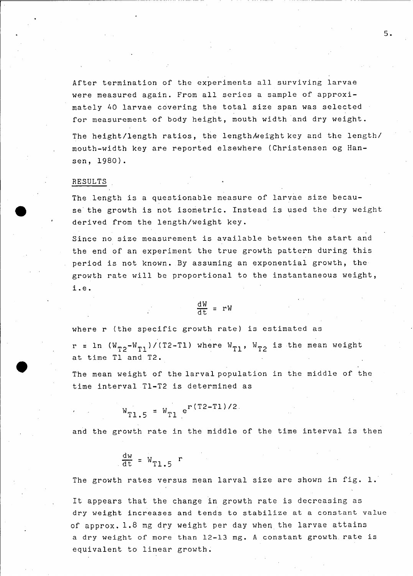After termination of the experiments all surviving larvae were measured again. From all series <sup>a</sup> sampIe of approximately 40 larvae covering the total size span was selected for measurement of body height, mouth width and dry weight.

The height/length ratios, the length weight key and the length/ mouth-width key are reported elsewhere (Christensen og Hansen, 1980).

## RESULTS

**•** 

r---------------------~~-- --- ---- ------~-----

The length is <sup>a</sup> questionable measure of larvae size beeause the growth is not isometrie. Instead is used the dry weight derived from the length/weight key.

Sinee no size measurement is available between the start and the end of an experiment the true growth pattern during this period is not known. By assuming an exponential growth, the growth rate will be proportional to the instantaneous weight, i.e.

$$
\frac{\mathrm{d}W}{\mathrm{d}t} = rW
$$

where <sup>r</sup> (the speeific growth rate) is estimated as

r = 1n  $(W_{T2}-W_{T1})/(T2-T1)$  where  $W_{T1}$ ,  $W_{T2}$  is the mean weight at time Tl and T2.

The mean weight of the larval population in the middle of the time interval Tl-T2 is determined as

$$
W_{T1.5} = W_{T1} e^{r(T2-T1)/2}
$$

and the growth rate in the middle of the time interval is then

$$
\frac{dw}{dt} = W_{T1.5} r
$$

The growth rates versus mean larval size are shown in fig. 1.

It appears that the change in growth rate is deereasing as dry weight increases and tends to stabi1ize at <sup>a</sup> constant va1ue of approx. 1.8 mg dry weight per day when the larvae attains <sup>a</sup> dry weight of more than 12-13 mg. <sup>A</sup> constant growth rate is equivalent to linear growth.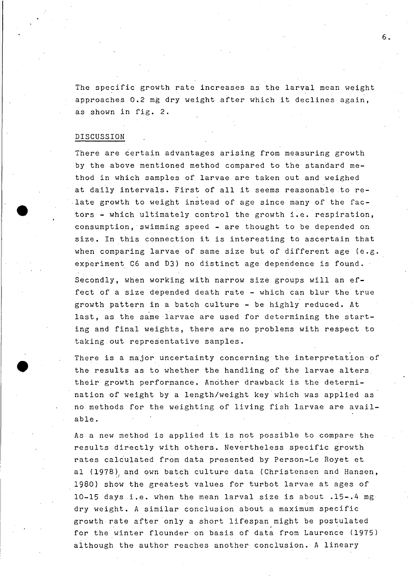The specific growth rate increases as the larval mean weight approaches 0.2 mg dry weight after which it declines again, as shown in fig. 2.

# DISCUSSION

**•** 

There are certain advantages arising from measuring growth by the above mentioned method compared to the standard method in which samples of larvae are taken out and weighed at daily intervals. First of all it seems reasonable to re- ,late growth to weight instead of age since many of the factors - which ultimately control the growth i.e. respiration, consumption, swimming speed - are thought to be depended on size. In this connection it is interesting to ascertain that when comparing larvae of same size but of different age  $(e.g.$ experiment C6 and D3) no distinct age deperidence is found.

Secondly, when working with narrow size groups will an effect of <sup>a</sup> size depended death rate - which can blur the true growth pattern in a batch culture - be highly reduced. At last, as the same larvae are used for determining the starting and final weights, there are no problems with respect to taking out representative samples.

There is a major uncertainty concerning the interpretation of the results as to whether the handling of the larvae alters. their growth performance. Another drawback is the determination of weight by a length/weight key'which was applied as no methods for the weighting of living fish larvae are available.

As <sup>a</sup> new method is applied it is not possible to compare the results directly with others. Nevertheless specific growth rates calculated from data presented by Person-Le Royet et al (1978) and own batch culture data (Christensen and Hansen, 1980) show the greatest values for turbot larvae at ages of 10-15 daysi.e. when the mean larval size is about .15-.4 mg dry weight. <sup>A</sup> similar conclusion about <sup>a</sup> maximum specific growth rate after only <sup>a</sup> short lifespan might be postulated for the winter flounder on basis of data from Laurence (1975) although the author reaches another conclusion. A lineary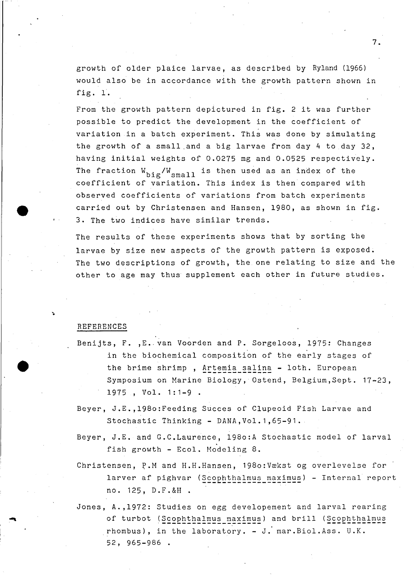growth of older plaice larvae, as described by Ryland (1966) would also be in accordance with the growth pattern shown in fig. 1.

7.

From the growth pattern depictured in fig. <sup>2</sup> it was further possible to predict the development in the eoefficient of variation in <sup>a</sup> bateh experiment. This was done by simulating the growth of a small.and a big larvae from day 4 to day 32, having initial weights of 0.0275 mg and 0.0525 respectively. The fraction  $W_{\text{big}}/W_{\text{small}}$  is then used as an index of the eoefficient of variation. This index is then eompared with observed coefficients of variations from bateh experiments carried out by Christensen and Hansen, 1980, as shown in fig. 3. The two indices have similar trends.

The results of these experiments shows that by sorting the larvae by size new aspects of the growth pattern is exposed. The two descriptions of growth, the one relating to size and the other to age may thus supplement eaeh other in future studies.

#### REFERENCES

**•** 

- Benijts, F. , E. van Voorden and P. Sorgeloos, 1975: Changes in the biochemieal eomposition of the early stages of the brime shrimp, Artemia salina - loth. European Symposium on Marine Biology, Ostend, Belgium,Sept. 17-23, 1975 , Vol. 1:1-9 .
- Beyer, J.E.,198o:Feeding Sueees of Clupeoid Fish Larvae and Stochastic Thinking - DANA,Vol.1,65-91.
- Beyer, J.E. and G.C.Laurence, 1980:A Stochastic model of larval fish growth - Ecol. Modeling 8.
- Christensen, P.M and H.H.Hansen, 198o:Vækst og overlevelse for larver af pighvar (Scophthalmus maximus) - Internal report no. 125, D.F.&H .
- Jones, A. ,1972: Studies on egg developement and larval rearing of turbot (Scophthalmus maximus) and brill (Scophthalmus rhombus), in the laboratory. - J.' mar.Biol.Ass. U.K. 52, 965-986 .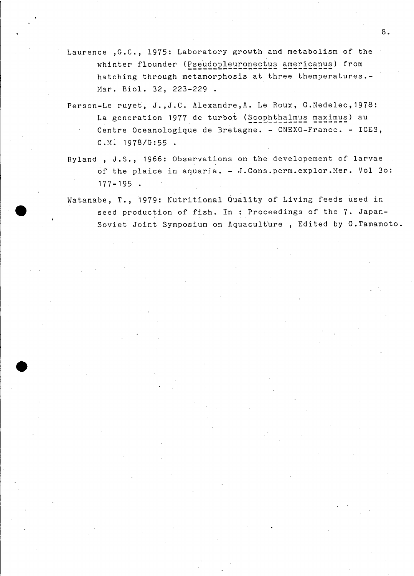- Laurence ,G.C., 1975: Laboratory growth and metabolism of the whinter flounder (Pseudopleuronectus americanus) from hatching through metamorphosis at three themperatures.- Mar. Biol. 32, 223-229.
	- Person-Le ruyet, J.,J.C. Alexandre,A. Le Roux, G.Nedelec,1978: La generation 1977 de turbot (Scophthalmus maximus) au Centre Oceanologique de Bretagne. - CNEXO-France. - ICES, C.M. 1978/G:55.
- Ryland , J.S., 1966: Observations on the developement of larvae of the plaice in aquaria. - J.Cons.perm.explor.Mer. Vol 30: 177-195 .
- Watanabe, T., 1979: Nutritional Quality of Living feeds used in seed production of fish. In : Proceedings of the 7. Japan-Soviet Joint Symposium on Aquaculture , Edited by G.Tamamoto.

**•**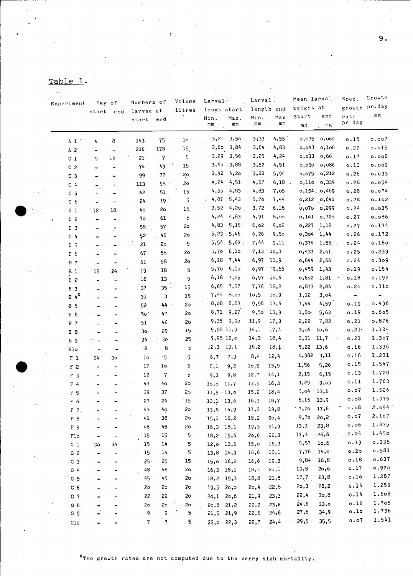| ᇭ.   |  |  |
|------|--|--|
| Tabl |  |  |
|      |  |  |

| Experiment |                    | Day of                   |                              | Numbers of     | Volume          | Larval         |               | Larval.       |       | Mean larval |            | Spec.           | Growth         |               |
|------------|--------------------|--------------------------|------------------------------|----------------|-----------------|----------------|---------------|---------------|-------|-------------|------------|-----------------|----------------|---------------|
|            |                    | start                    | end                          | larvae at      |                 | litres         | lengt start   |               |       | length end  | weight at  |                 |                | growth pr.day |
|            |                    |                          |                              | start          | end             |                | Min.          | Max.          | Min.  | Max         | Start      | end             | rate           | mF            |
|            |                    |                          |                              |                |                 |                | mm            | mm            | mm    | mm          | mg         | mg              | pr day         |               |
|            | A <sub>1</sub>     | 4                        | 8                            | 143            | 75              | 10             |               | $3,21$ $3,56$ | 3;33  | 4,55        | 0,035      | 0.064           | 0.15           | 0.007         |
|            | A <sub>2</sub>     |                          | $\qquad \qquad \blacksquare$ | 216            | 178             | 15             |               | 3,60 3,84     | 3,64  | 4,83        |            | $0,043$ $0,106$ | 0.22           | 0.015         |
|            | $c_1$              | З                        | 12                           | 21             | $\pmb{7}$       | 5              |               | 3,29 3,56     | 3,25  | 4,24        | 0,033      | 0,66            | 0.17           | 0.008         |
|            | C <sub>2</sub>     | $\blacksquare$           | $\overline{\phantom{a}}$     | 74             | 49              | 15             |               | 3,60 3,88     | 3,52  | 4,51        | 0,050      | 0,086           | 0.13           | 0.009         |
|            | C <sub>3</sub>     |                          |                              | 99             | ${\bf 77}$      | 2o             | 3,92          | 4,20          | 3,88  | 5,94        |            | $0,075$ $0,212$ | 0.26           | 0.033         |
|            | C <sub>4</sub>     |                          | ۳.                           | 113            | 98 ·            | 2o             | 4,24          | 4,51          | 4,67  | $6,18$ .    |            | o,110 o,339     | 0.28           | 0.054         |
|            | C <sub>5</sub>     | ۳.<br>-                  |                              | 62             | 51              | 15             | 4,55          | 4,83          | 4,83  | 7,05        |            | 0,154.0,469     | 0.28           | 0.074         |
|            | C <sub>6</sub>     | ÷,                       |                              | 24             | 19 <sup>°</sup> | 5              | .4,87         | 5,43          | 5,70  | 7,44        |            | $0,212$ $0,641$ | 0.28           | 0.102         |
|            | $\overline{D}$ 1   | 12                       | 18                           | 40             | So              | 15             | 3,52          | 4,20          | 3,72  | 6,18        |            | 0,070 0,299     | 0.24           | 0.035         |
|            | D <sub>2</sub>     | $\overline{\phantom{0}}$ | $\overline{\phantom{m}}$     | $70 -$         | 61              | 5              | 4,24          | 4,83          | 4,91  | 8,00        |            | $0,141$ 0,720   | 0.27           | 0.086         |
|            | D <sub>3</sub>     |                          |                              | 58             | 57              | 2o             | .4,83         | 5,15          | 6,02  | 9,02        | 0,227      | 1,12            | 0.27           | .0.134        |
|            | D 4                |                          | ≓                            | 52             | 46              | 2o             | 5,23          | 5,46          | 6,26  | 9,50        | 0,304      | 1,44            | 0.26           | 0.172         |
|            | D <sub>5</sub>     |                          |                              | 21             | 2o              | 5              | 5,54          | 5,62.         | 7,44  | 9,11        | 0,374      | 1,55.           | 0.24           | 0.180         |
|            | D <sub>6</sub>     |                          |                              | 67             | 58              | 2o             | 5,70          | 6,10          | 7,13  | 10,3        | 0,437      | 2,01            | 0.25           | 0.239         |
|            | D 7                |                          | $\blacksquare$               | 61             | 58              | 20             | 6,18          | 7,44          | .6,97 | 11,9        | 0,644      | 2,66            | 0.24           | 0.309         |
|            | E <sub>1</sub>     | 18                       | 24                           | 19             | 18              | 5              |               | 5,70.6,10     | 6,97  | 9,66        | 0,459      | 1,43            | 0.19           | 0.154         |
|            | E <sub>2</sub>     |                          | $\qquad \qquad \blacksquare$ | 18             | 13              | 5              | 6,18          | 7,05          | 6,97  | 10,6        | 0,602      | 1,81            | 0.18           | 0.192         |
|            | E 3                |                          | Ξ.                           | 37             | $35$ .          | 15             |               | 6,65 7,37     | 7,76  | 12,2        | 0,873.2,84 |                 | 0.20           | 0.310         |
|            | $E/4^{\mathbf{X}}$ |                          | $\equiv$                     | 31             | 3               | 15             |               | 7,44.8,00     | 10,5  | 10,9        | 1,12       | 3,04            | $\blacksquare$ |               |
|            | E <sub>5</sub>     |                          | $\overline{\phantom{0}}$     | 52             | 44              | 2o             | 8,08          | 8,63          | 9,98  | 13,6        | 1,44       | 4,59            | 0.19           | 0.496         |
|            | E 6                |                          |                              | 50             | 47              | 2o             | 8,71          | 9,27          | 9,50  | 13,9        | $1,80-$    | 5,63            | 0.19           | 0.605         |
|            | $E$ 7              | L.                       | $\blacksquare$               | 51             | 46              | 2o             | 9,35          | 9,90          | 11,9  | 17,3        | 2,22       | 7,82            | 0.21           | 0.876         |
|            | E 8                |                          |                              | 30.            | 29              | 15             | 9,98 11,9     |               | 14,1  | 17,4        | 3,06       | 10,6            | $\circ$ .21.   | 1.184         |
|            | E 9                |                          |                              | 34             | 3 <sub>o</sub>  | 25             | 9,98 12,0     |               | 14,3  | 18,4        | 3,31       | 11,7            | 0.21           | 1.307         |
|            | Elo                | ٠                        | $\overline{\phantom{0}}$     | $\cdot 8$      | 8               | 5              | 12,3          | 13,1          | 16,2  | 18,1        | 5,22       | 13,6            | 0.16           | 1.336         |
|            | $F_1$              | 24                       | 30                           | 10             | $^{\circ}$ 5    | 5              | 6,7           | 7,9           | 8,4   | 12,4        | o,982      | 3,11            | 0.16           | 1.231         |
|            | F <sub>2</sub>     |                          | -                            | 17             | lo              | 5              | 8,1           | 9,2           | 10,5  | 13,9        | 1,56       | 5,26            | 0.15           | 1.547         |
|            | F <sub>3</sub>     |                          |                              | 12             | $\overline{7}$  | 5              | 9,3           | 9,8           | 12,7  | 14,1        | 2,15       | 6,15            | 0.13           | 1.720         |
|            | F <sub>4</sub>     |                          |                              | 43             | 40              | 2 <sub>o</sub> | 10,0          | 11,7          | 13,5  | 16,3        | 3,29       | 9,05            | 0.11           | 1.763         |
|            | F 5                |                          |                              | 39             | 37              | 20             | 11,9.13,0     |               | 15,2  | 18,4        | 5,04       | 13,1            | 0.07           | 1.526         |
|            | F 6                |                          |                              | 27             | 24              | $\cdot$ 15     | 13,1 13,6     |               | 16,3  | 18,7        | 6,15       | 13,9            | 0.08           | 1.975         |
|            | F 7.               |                          |                              | 43             | 40 <sub>o</sub> | 2o             | 13,8 14,9     |               | 17,3  | 19,8        | $.7,7$ o   | 17,6            | 0.08           | 2.094         |
|            | F 8                |                          |                              | 41             | 38              | 20             | $15,1$ 16,2   |               | 18,2  | 20,4        | 9,7o       | 20,2            | 0.07           | 2.107         |
|            | F 9                |                          |                              | 46             | 45              | 20             | $16,3$ $18,1$ |               | 19,3  | 21,9        | 13,3       | 23,8            | 0.06           | 1.835         |
|            | Flo                |                          |                              | 15             | 15              | 5              | 18,2 19,6     |               | 20, 6 | .22, 3      | 17,3       | 26, 6           | 0.04           | 1.450         |
|            | $G_1$              | 30                       | 34                           | .15            | 14              | 5              | $12,0$ 13,6   |               | 15,0  | 16,3        | 5,57       | 10,6            | 0.19           | 0.335         |
|            | G <sub>2</sub>     |                          |                              | 15             | 14              | 5              | 13,8 14,9     |               | 16,6  | 18,1        | 7,76       | 14,0            | 0.20           | o.581         |
|            | G <sub>3</sub>     |                          |                              | $25 -$         | 25              | 15             | 15,0 16,2     |               | 16,6  | 19,3        | 9,84       | 16,8            | 0.18           | .0.637        |
|            | $G$ 4              |                          |                              | 48             | 48              | 2o             | 16,3 18,1     |               | 18,4  | $21,1$ .    | 13,5       | 20,6            | 0.17           | 0.920         |
|            | G <sub>5</sub>     |                          |                              | 45             | 45              | 2 <sub>o</sub> | 18,2 19,3     |               | 18,8  | 21,5        | 17,7       | 23,8            | 0.16           | 1.287         |
|            | G <sub>6</sub>     |                          |                              | 2o             | 20              | 2o             | 19,5 20,0     |               | 20, 4 | 22,8        | 20,3       | 28,2            | 0.14           | 1.259         |
|            | $G$ $7$            |                          |                              | 22             | 22              | 20             | $20,1$ $20,6$ |               | 21,9  | 23,3        | 22,4       | 30,8            | 0.14           | 1.608         |
|            | G.8.               |                          |                              | 2 <sub>o</sub> | 2 <sub>o</sub>  | 2o             | $20,8$ 21,2   |               | 22,2  | 23,6        | 24, 6      | 33,0            | 0.12           | 1.705         |
|            | G <sub>9</sub>     |                          |                              | 9              | 9               | 5              | $21,5$ $21,9$ |               | 22,5  | 24,6        | 27,6       | 34,9            | 0.10           | 1,736         |
|            | G1O                |                          |                              | $\mathbf{7}$   | $\mathbf{7}$    | 5              | $22,0$ $22,3$ |               | 22,7  | 24,4        | 29,5       | 35,5            | 0.07           | 1.541         |
|            |                    |                          |                              |                |                 |                |               |               |       |             |            |                 |                |               |

 $9.$ 

<sup>x</sup>The growth rates are not computed due to the verry high mortality.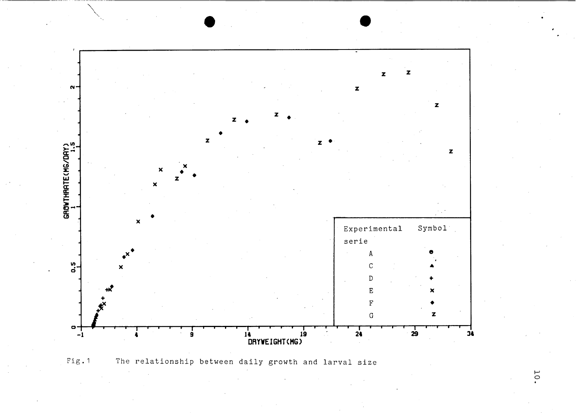



<sup>10</sup>.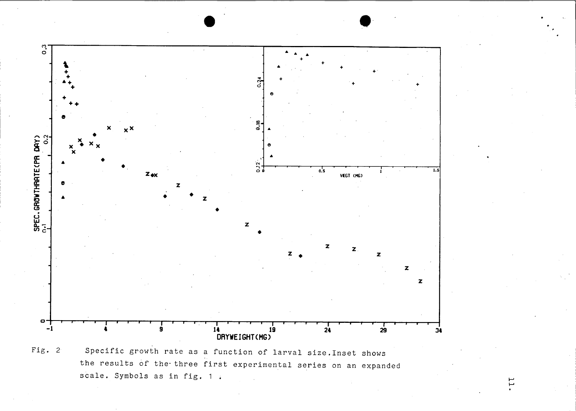